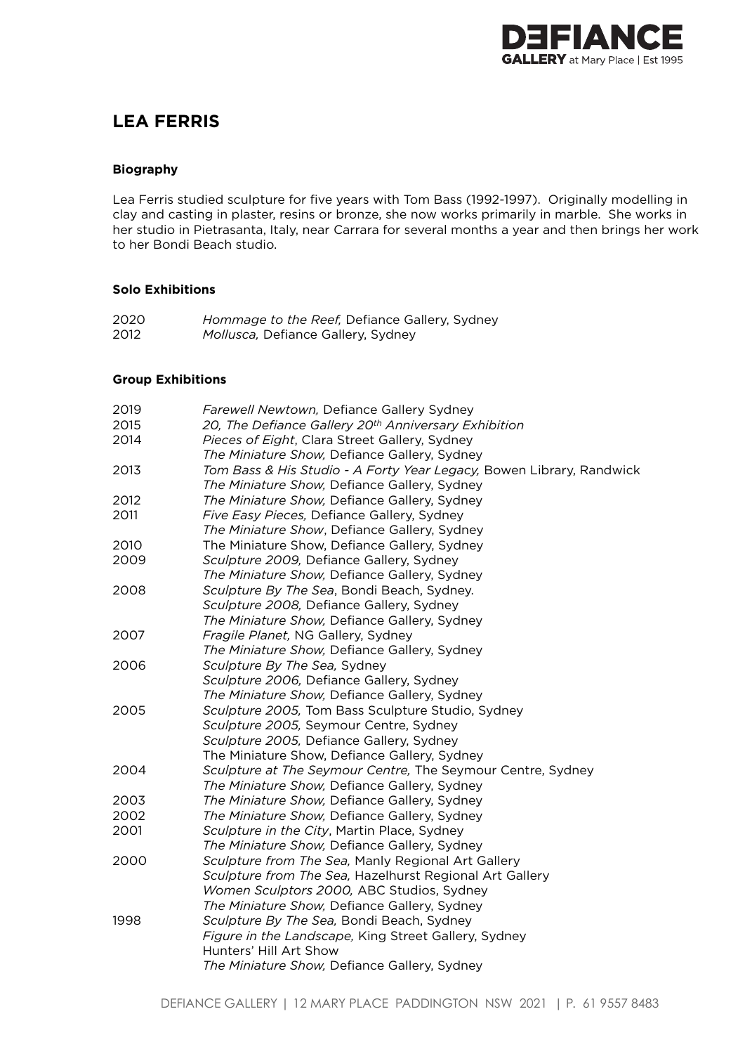

# **LEA FERRIS**

# **Biography**

Lea Ferris studied sculpture for five years with Tom Bass (1992-1997). Originally modelling in clay and casting in plaster, resins or bronze, she now works primarily in marble. She works in her studio in Pietrasanta, Italy, near Carrara for several months a year and then brings her work to her Bondi Beach studio.

# **Solo Exhibitions**

| 2020 | <i>Hommage to the Reef, Defiance Gallery, Sydney</i> |
|------|------------------------------------------------------|
| 2012 | Mollusca, Defiance Gallery, Sydney                   |

#### **Group Exhibitions**

| 2019 | Farewell Newtown, Defiance Gallery Sydney                            |
|------|----------------------------------------------------------------------|
| 2015 | 20, The Defiance Gallery 20th Anniversary Exhibition                 |
| 2014 | Pieces of Eight, Clara Street Gallery, Sydney                        |
|      | The Miniature Show, Defiance Gallery, Sydney                         |
| 2013 | Tom Bass & His Studio - A Forty Year Legacy, Bowen Library, Randwick |
|      | The Miniature Show, Defiance Gallery, Sydney                         |
| 2012 | The Miniature Show, Defiance Gallery, Sydney                         |
| 2011 | Five Easy Pieces, Defiance Gallery, Sydney                           |
|      | The Miniature Show, Defiance Gallery, Sydney                         |
| 2010 | The Miniature Show, Defiance Gallery, Sydney                         |
| 2009 | Sculpture 2009, Defiance Gallery, Sydney                             |
|      | The Miniature Show, Defiance Gallery, Sydney                         |
| 2008 | Sculpture By The Sea, Bondi Beach, Sydney.                           |
|      | Sculpture 2008, Defiance Gallery, Sydney                             |
|      | The Miniature Show, Defiance Gallery, Sydney                         |
| 2007 | Fragile Planet, NG Gallery, Sydney                                   |
|      | The Miniature Show, Defiance Gallery, Sydney                         |
| 2006 | Sculpture By The Sea, Sydney                                         |
|      | Sculpture 2006, Defiance Gallery, Sydney                             |
|      | The Miniature Show, Defiance Gallery, Sydney                         |
| 2005 | Sculpture 2005, Tom Bass Sculpture Studio, Sydney                    |
|      | Sculpture 2005, Seymour Centre, Sydney                               |
|      | Sculpture 2005, Defiance Gallery, Sydney                             |
|      | The Miniature Show, Defiance Gallery, Sydney                         |
| 2004 | Sculpture at The Seymour Centre, The Seymour Centre, Sydney          |
|      | The Miniature Show, Defiance Gallery, Sydney                         |
| 2003 | The Miniature Show, Defiance Gallery, Sydney                         |
| 2002 | The Miniature Show, Defiance Gallery, Sydney                         |
| 2001 | Sculpture in the City, Martin Place, Sydney                          |
|      | The Miniature Show, Defiance Gallery, Sydney                         |
| 2000 | Sculpture from The Sea, Manly Regional Art Gallery                   |
|      | Sculpture from The Sea, Hazelhurst Regional Art Gallery              |
|      | Women Sculptors 2000, ABC Studios, Sydney                            |
|      | The Miniature Show, Defiance Gallery, Sydney                         |
| 1998 | Sculpture By The Sea, Bondi Beach, Sydney                            |
|      | Figure in the Landscape, King Street Gallery, Sydney                 |
|      | Hunters' Hill Art Show                                               |
|      | The Miniature Show, Defiance Gallery, Sydney                         |
|      |                                                                      |